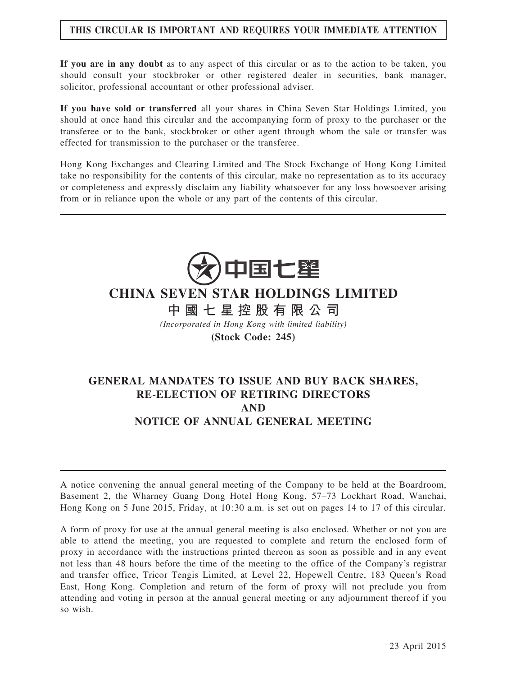## THIS CIRCULAR IS IMPORTANT AND REQUIRES YOUR IMMEDIATE ATTENTION

If you are in any doubt as to any aspect of this circular or as to the action to be taken, you should consult your stockbroker or other registered dealer in securities, bank manager, solicitor, professional accountant or other professional adviser.

If you have sold or transferred all your shares in China Seven Star Holdings Limited, you should at once hand this circular and the accompanying form of proxy to the purchaser or the transferee or to the bank, stockbroker or other agent through whom the sale or transfer was effected for transmission to the purchaser or the transferee.

Hong Kong Exchanges and Clearing Limited and The Stock Exchange of Hong Kong Limited take no responsibility for the contents of this circular, make no representation as to its accuracy or completeness and expressly disclaim any liability whatsoever for any loss howsoever arising from or in reliance upon the whole or any part of the contents of this circular.



## CHINA SEVEN STAR HOLDINGS LIMITED

中 國 七 星 控 股 有 限 公 司

(Incorporated in Hong Kong with limited liability)

(Stock Code: 245)

## GENERAL MANDATES TO ISSUE AND BUY BACK SHARES, RE-ELECTION OF RETIRING DIRECTORS AND NOTICE OF ANNUAL GENERAL MEETING

A notice convening the annual general meeting of the Company to be held at the Boardroom, Basement 2, the Wharney Guang Dong Hotel Hong Kong, 57–73 Lockhart Road, Wanchai, Hong Kong on 5 June 2015, Friday, at 10:30 a.m. is set out on pages 14 to 17 of this circular.

A form of proxy for use at the annual general meeting is also enclosed. Whether or not you are able to attend the meeting, you are requested to complete and return the enclosed form of proxy in accordance with the instructions printed thereon as soon as possible and in any event not less than 48 hours before the time of the meeting to the office of the Company's registrar and transfer office, Tricor Tengis Limited, at Level 22, Hopewell Centre, 183 Queen's Road East, Hong Kong. Completion and return of the form of proxy will not preclude you from attending and voting in person at the annual general meeting or any adjournment thereof if you so wish.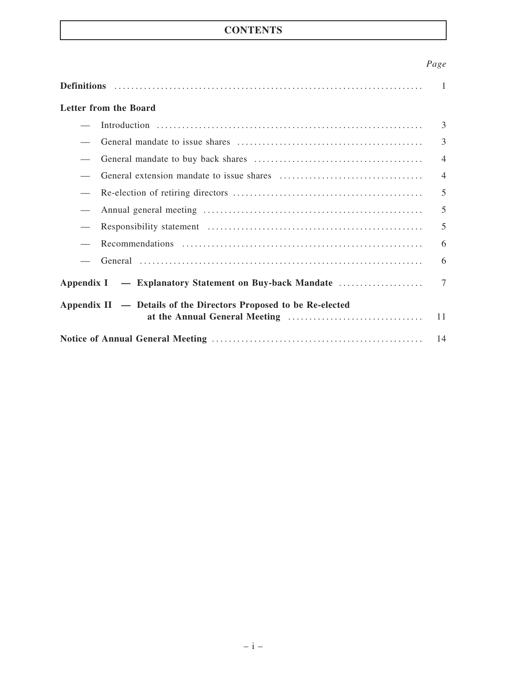## **CONTENTS**

## Page

|                                                                  | $\sim$ 1       |
|------------------------------------------------------------------|----------------|
| <b>Letter from the Board</b>                                     |                |
|                                                                  | 3              |
|                                                                  | $\overline{3}$ |
|                                                                  | $\overline{4}$ |
|                                                                  | $\overline{4}$ |
|                                                                  | 5              |
|                                                                  | 5              |
|                                                                  | 5              |
|                                                                  | 6              |
|                                                                  | 6              |
| Appendix I — Explanatory Statement on Buy-back Mandate           | $\overline{7}$ |
| Appendix II — Details of the Directors Proposed to be Re-elected | 11             |
|                                                                  | 14             |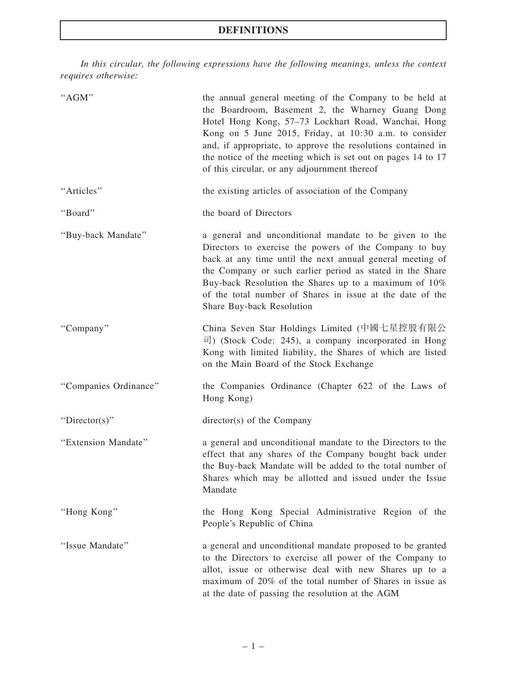## DEFINITIONS

In this circular, the following expressions have the following meanings, unless the context requires otherwise:

| "AGM"                 | the annual general meeting of the Company to be held at<br>the Boardroom, Basement 2, the Wharney Guang Dong<br>Hotel Hong Kong, 57-73 Lockhart Road, Wanchai, Hong<br>Kong on 5 June 2015, Friday, at 10:30 a.m. to consider<br>and, if appropriate, to approve the resolutions contained in<br>the notice of the meeting which is set out on pages 14 to 17<br>of this circular, or any adjournment thereof |
|-----------------------|---------------------------------------------------------------------------------------------------------------------------------------------------------------------------------------------------------------------------------------------------------------------------------------------------------------------------------------------------------------------------------------------------------------|
| "Articles"            | the existing articles of association of the Company                                                                                                                                                                                                                                                                                                                                                           |
| "Board"               | the board of Directors                                                                                                                                                                                                                                                                                                                                                                                        |
| "Buy-back Mandate"    | a general and unconditional mandate to be given to the<br>Directors to exercise the powers of the Company to buy<br>back at any time until the next annual general meeting of<br>the Company or such earlier period as stated in the Share<br>Buy-back Resolution the Shares up to a maximum of 10%<br>of the total number of Shares in issue at the date of the<br>Share Buy-back Resolution                 |
| "Company"             | China Seven Star Holdings Limited (中國七星控股有限公<br>$\overline{\mathbb{E}}$ ) (Stock Code: 245), a company incorporated in Hong<br>Kong with limited liability, the Shares of which are listed<br>on the Main Board of the Stock Exchange                                                                                                                                                                         |
| "Companies Ordinance" | the Companies Ordinance (Chapter 622 of the Laws of<br>Hong Kong)                                                                                                                                                                                                                                                                                                                                             |
| "Director(s)"         | director(s) of the Company                                                                                                                                                                                                                                                                                                                                                                                    |
| "Extension Mandate"   | a general and unconditional mandate to the Directors to the<br>effect that any shares of the Company bought back under<br>the Buy-back Mandate will be added to the total number of<br>Shares which may be allotted and issued under the Issue<br>Mandate                                                                                                                                                     |
| "Hong Kong"           | the Hong Kong Special Administrative Region of the<br>People's Republic of China                                                                                                                                                                                                                                                                                                                              |
| "Issue Mandate"       | a general and unconditional mandate proposed to be granted<br>to the Directors to exercise all power of the Company to<br>allot, issue or otherwise deal with new Shares up to a<br>maximum of 20% of the total number of Shares in issue as<br>at the date of passing the resolution at the AGM                                                                                                              |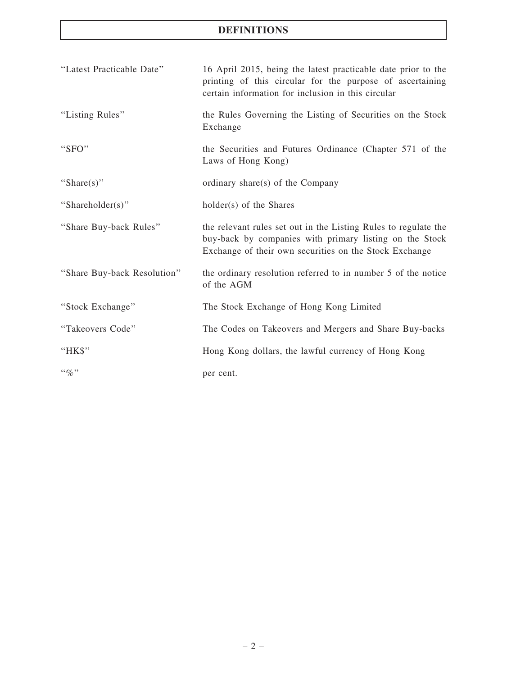## DEFINITIONS

| "Latest Practicable Date"   | 16 April 2015, being the latest practicable date prior to the<br>printing of this circular for the purpose of ascertaining<br>certain information for inclusion in this circular     |
|-----------------------------|--------------------------------------------------------------------------------------------------------------------------------------------------------------------------------------|
| "Listing Rules"             | the Rules Governing the Listing of Securities on the Stock<br>Exchange                                                                                                               |
| "SFO"                       | the Securities and Futures Ordinance (Chapter 571 of the<br>Laws of Hong Kong)                                                                                                       |
| "Share(s)"                  | ordinary share(s) of the Company                                                                                                                                                     |
| "Shareholder(s)"            | holder(s) of the Shares                                                                                                                                                              |
| "Share Buy-back Rules"      | the relevant rules set out in the Listing Rules to regulate the<br>buy-back by companies with primary listing on the Stock<br>Exchange of their own securities on the Stock Exchange |
| "Share Buy-back Resolution" | the ordinary resolution referred to in number 5 of the notice<br>of the AGM                                                                                                          |
| "Stock Exchange"            | The Stock Exchange of Hong Kong Limited                                                                                                                                              |
| "Takeovers Code"            | The Codes on Takeovers and Mergers and Share Buy-backs                                                                                                                               |
| "HK\$"                      | Hong Kong dollars, the lawful currency of Hong Kong                                                                                                                                  |
| $``\%"$                     | per cent.                                                                                                                                                                            |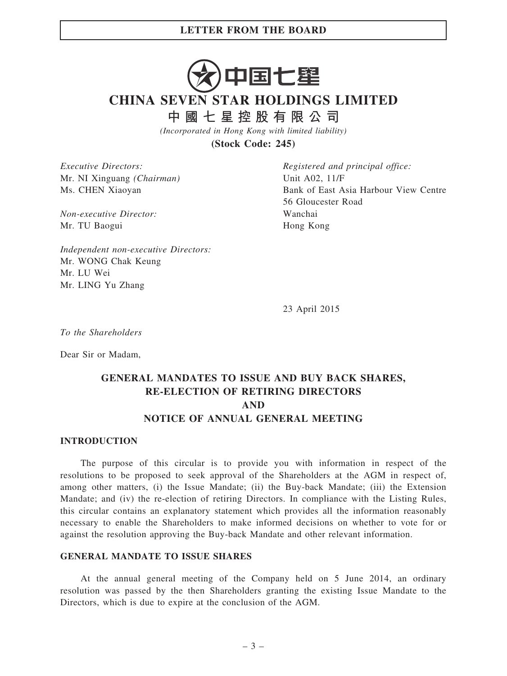# 中国七壆

## CHINA SEVEN STAR HOLDINGS LIMITED

中 國 七 星 控 股 有 限 公 司

(Incorporated in Hong Kong with limited liability)

(Stock Code: 245)

Executive Directors: Mr. NI Xinguang (Chairman) Ms. CHEN Xiaoyan

Non-executive Director: Mr. TU Baogui

Registered and principal office: Unit A02, 11/F Bank of East Asia Harbour View Centre 56 Gloucester Road Wanchai Hong Kong

Independent non-executive Directors: Mr. WONG Chak Keung Mr. LU Wei Mr. LING Yu Zhang

23 April 2015

To the Shareholders

Dear Sir or Madam,

## GENERAL MANDATES TO ISSUE AND BUY BACK SHARES, RE-ELECTION OF RETIRING DIRECTORS AND NOTICE OF ANNUAL GENERAL MEETING

#### INTRODUCTION

The purpose of this circular is to provide you with information in respect of the resolutions to be proposed to seek approval of the Shareholders at the AGM in respect of, among other matters, (i) the Issue Mandate; (ii) the Buy-back Mandate; (iii) the Extension Mandate; and (iv) the re-election of retiring Directors. In compliance with the Listing Rules, this circular contains an explanatory statement which provides all the information reasonably necessary to enable the Shareholders to make informed decisions on whether to vote for or against the resolution approving the Buy-back Mandate and other relevant information.

#### GENERAL MANDATE TO ISSUE SHARES

At the annual general meeting of the Company held on 5 June 2014, an ordinary resolution was passed by the then Shareholders granting the existing Issue Mandate to the Directors, which is due to expire at the conclusion of the AGM.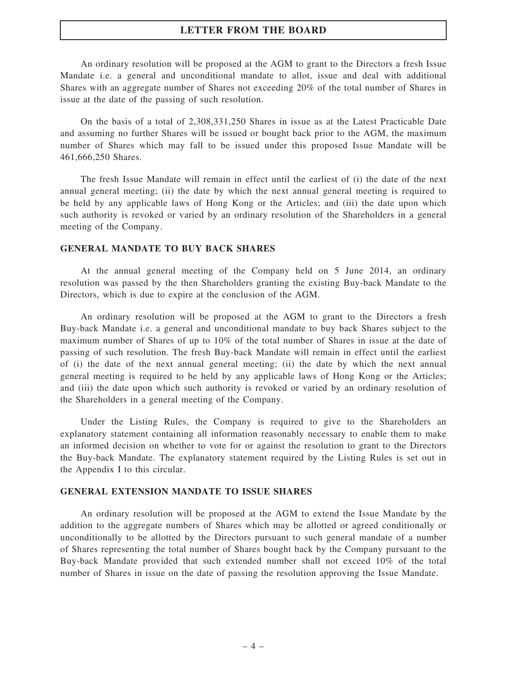An ordinary resolution will be proposed at the AGM to grant to the Directors a fresh Issue Mandate i.e. a general and unconditional mandate to allot, issue and deal with additional Shares with an aggregate number of Shares not exceeding 20% of the total number of Shares in issue at the date of the passing of such resolution.

On the basis of a total of 2,308,331,250 Shares in issue as at the Latest Practicable Date and assuming no further Shares will be issued or bought back prior to the AGM, the maximum number of Shares which may fall to be issued under this proposed Issue Mandate will be 461,666,250 Shares.

The fresh Issue Mandate will remain in effect until the earliest of (i) the date of the next annual general meeting; (ii) the date by which the next annual general meeting is required to be held by any applicable laws of Hong Kong or the Articles; and (iii) the date upon which such authority is revoked or varied by an ordinary resolution of the Shareholders in a general meeting of the Company.

#### GENERAL MANDATE TO BUY BACK SHARES

At the annual general meeting of the Company held on 5 June 2014, an ordinary resolution was passed by the then Shareholders granting the existing Buy-back Mandate to the Directors, which is due to expire at the conclusion of the AGM.

An ordinary resolution will be proposed at the AGM to grant to the Directors a fresh Buy-back Mandate i.e. a general and unconditional mandate to buy back Shares subject to the maximum number of Shares of up to 10% of the total number of Shares in issue at the date of passing of such resolution. The fresh Buy-back Mandate will remain in effect until the earliest of (i) the date of the next annual general meeting; (ii) the date by which the next annual general meeting is required to be held by any applicable laws of Hong Kong or the Articles; and (iii) the date upon which such authority is revoked or varied by an ordinary resolution of the Shareholders in a general meeting of the Company.

Under the Listing Rules, the Company is required to give to the Shareholders an explanatory statement containing all information reasonably necessary to enable them to make an informed decision on whether to vote for or against the resolution to grant to the Directors the Buy-back Mandate. The explanatory statement required by the Listing Rules is set out in the Appendix I to this circular.

#### GENERAL EXTENSION MANDATE TO ISSUE SHARES

An ordinary resolution will be proposed at the AGM to extend the Issue Mandate by the addition to the aggregate numbers of Shares which may be allotted or agreed conditionally or unconditionally to be allotted by the Directors pursuant to such general mandate of a number of Shares representing the total number of Shares bought back by the Company pursuant to the Buy-back Mandate provided that such extended number shall not exceed 10% of the total number of Shares in issue on the date of passing the resolution approving the Issue Mandate.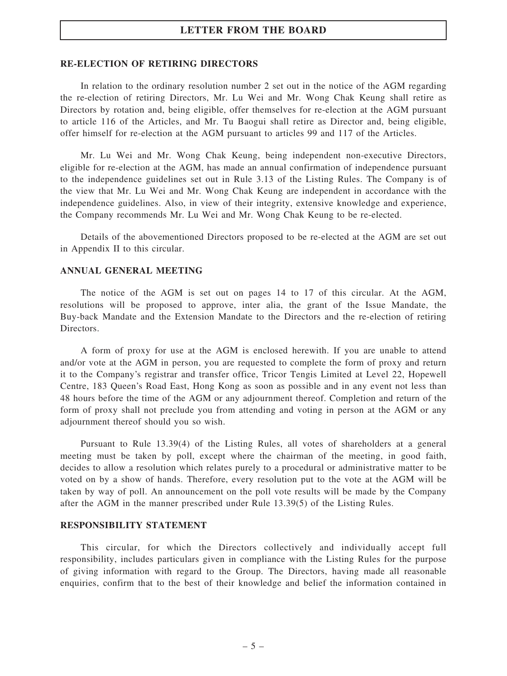#### RE-ELECTION OF RETIRING DIRECTORS

In relation to the ordinary resolution number 2 set out in the notice of the AGM regarding the re-election of retiring Directors, Mr. Lu Wei and Mr. Wong Chak Keung shall retire as Directors by rotation and, being eligible, offer themselves for re-election at the AGM pursuant to article 116 of the Articles, and Mr. Tu Baogui shall retire as Director and, being eligible, offer himself for re-election at the AGM pursuant to articles 99 and 117 of the Articles.

Mr. Lu Wei and Mr. Wong Chak Keung, being independent non-executive Directors, eligible for re-election at the AGM, has made an annual confirmation of independence pursuant to the independence guidelines set out in Rule 3.13 of the Listing Rules. The Company is of the view that Mr. Lu Wei and Mr. Wong Chak Keung are independent in accordance with the independence guidelines. Also, in view of their integrity, extensive knowledge and experience, the Company recommends Mr. Lu Wei and Mr. Wong Chak Keung to be re-elected.

Details of the abovementioned Directors proposed to be re-elected at the AGM are set out in Appendix II to this circular.

#### ANNUAL GENERAL MEETING

The notice of the AGM is set out on pages 14 to 17 of this circular. At the AGM, resolutions will be proposed to approve, inter alia, the grant of the Issue Mandate, the Buy-back Mandate and the Extension Mandate to the Directors and the re-election of retiring Directors.

A form of proxy for use at the AGM is enclosed herewith. If you are unable to attend and/or vote at the AGM in person, you are requested to complete the form of proxy and return it to the Company's registrar and transfer office, Tricor Tengis Limited at Level 22, Hopewell Centre, 183 Queen's Road East, Hong Kong as soon as possible and in any event not less than 48 hours before the time of the AGM or any adjournment thereof. Completion and return of the form of proxy shall not preclude you from attending and voting in person at the AGM or any adjournment thereof should you so wish.

Pursuant to Rule 13.39(4) of the Listing Rules, all votes of shareholders at a general meeting must be taken by poll, except where the chairman of the meeting, in good faith, decides to allow a resolution which relates purely to a procedural or administrative matter to be voted on by a show of hands. Therefore, every resolution put to the vote at the AGM will be taken by way of poll. An announcement on the poll vote results will be made by the Company after the AGM in the manner prescribed under Rule 13.39(5) of the Listing Rules.

#### RESPONSIBILITY STATEMENT

This circular, for which the Directors collectively and individually accept full responsibility, includes particulars given in compliance with the Listing Rules for the purpose of giving information with regard to the Group. The Directors, having made all reasonable enquiries, confirm that to the best of their knowledge and belief the information contained in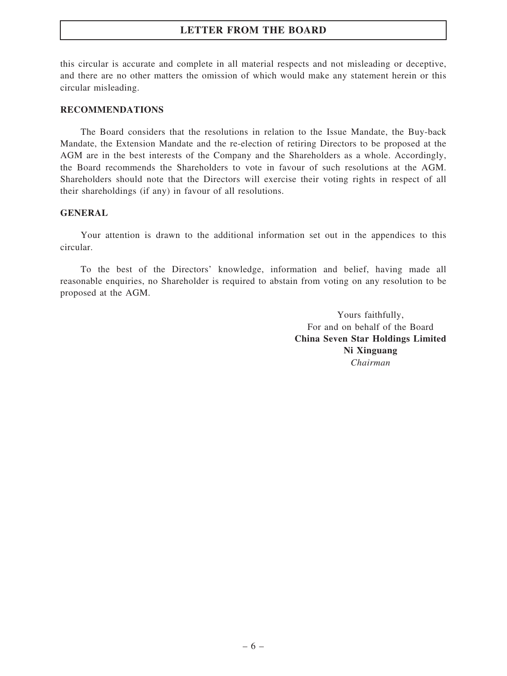this circular is accurate and complete in all material respects and not misleading or deceptive, and there are no other matters the omission of which would make any statement herein or this circular misleading.

#### RECOMMENDATIONS

The Board considers that the resolutions in relation to the Issue Mandate, the Buy-back Mandate, the Extension Mandate and the re-election of retiring Directors to be proposed at the AGM are in the best interests of the Company and the Shareholders as a whole. Accordingly, the Board recommends the Shareholders to vote in favour of such resolutions at the AGM. Shareholders should note that the Directors will exercise their voting rights in respect of all their shareholdings (if any) in favour of all resolutions.

#### GENERAL

Your attention is drawn to the additional information set out in the appendices to this circular.

To the best of the Directors' knowledge, information and belief, having made all reasonable enquiries, no Shareholder is required to abstain from voting on any resolution to be proposed at the AGM.

> Yours faithfully, For and on behalf of the Board China Seven Star Holdings Limited Ni Xinguang Chairman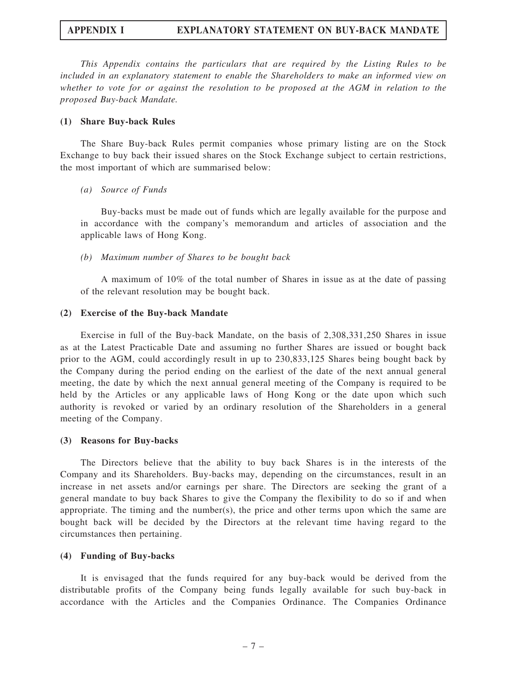This Appendix contains the particulars that are required by the Listing Rules to be included in an explanatory statement to enable the Shareholders to make an informed view on whether to vote for or against the resolution to be proposed at the AGM in relation to the proposed Buy-back Mandate.

#### (1) Share Buy-back Rules

The Share Buy-back Rules permit companies whose primary listing are on the Stock Exchange to buy back their issued shares on the Stock Exchange subject to certain restrictions, the most important of which are summarised below:

#### (a) Source of Funds

Buy-backs must be made out of funds which are legally available for the purpose and in accordance with the company's memorandum and articles of association and the applicable laws of Hong Kong.

#### (b) Maximum number of Shares to be bought back

A maximum of 10% of the total number of Shares in issue as at the date of passing of the relevant resolution may be bought back.

#### (2) Exercise of the Buy-back Mandate

Exercise in full of the Buy-back Mandate, on the basis of 2,308,331,250 Shares in issue as at the Latest Practicable Date and assuming no further Shares are issued or bought back prior to the AGM, could accordingly result in up to 230,833,125 Shares being bought back by the Company during the period ending on the earliest of the date of the next annual general meeting, the date by which the next annual general meeting of the Company is required to be held by the Articles or any applicable laws of Hong Kong or the date upon which such authority is revoked or varied by an ordinary resolution of the Shareholders in a general meeting of the Company.

#### (3) Reasons for Buy-backs

The Directors believe that the ability to buy back Shares is in the interests of the Company and its Shareholders. Buy-backs may, depending on the circumstances, result in an increase in net assets and/or earnings per share. The Directors are seeking the grant of a general mandate to buy back Shares to give the Company the flexibility to do so if and when appropriate. The timing and the number(s), the price and other terms upon which the same are bought back will be decided by the Directors at the relevant time having regard to the circumstances then pertaining.

#### (4) Funding of Buy-backs

It is envisaged that the funds required for any buy-back would be derived from the distributable profits of the Company being funds legally available for such buy-back in accordance with the Articles and the Companies Ordinance. The Companies Ordinance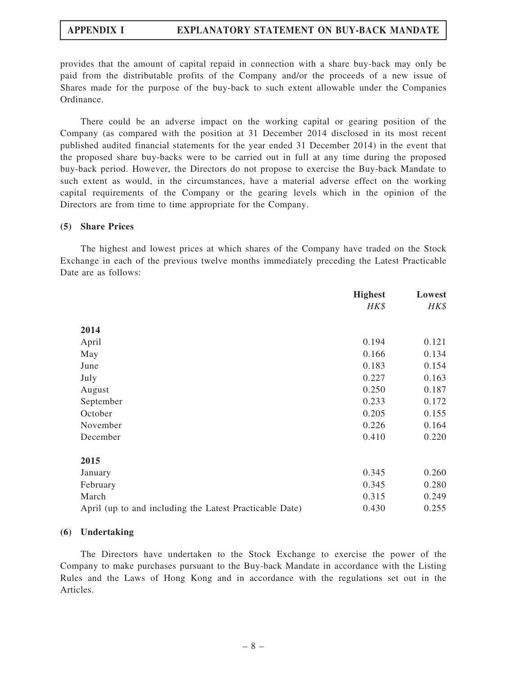provides that the amount of capital repaid in connection with a share buy-back may only be paid from the distributable profits of the Company and/or the proceeds of a new issue of Shares made for the purpose of the buy-back to such extent allowable under the Companies Ordinance.

There could be an adverse impact on the working capital or gearing position of the Company (as compared with the position at 31 December 2014 disclosed in its most recent published audited financial statements for the year ended 31 December 2014) in the event that the proposed share buy-backs were to be carried out in full at any time during the proposed buy-back period. However, the Directors do not propose to exercise the Buy-back Mandate to such extent as would, in the circumstances, have a material adverse effect on the working capital requirements of the Company or the gearing levels which in the opinion of the Directors are from time to time appropriate for the Company.

#### (5) Share Prices

The highest and lowest prices at which shares of the Company have traded on the Stock Exchange in each of the previous twelve months immediately preceding the Latest Practicable Date are as follows:

|                                                         | <b>Highest</b> | Lowest |
|---------------------------------------------------------|----------------|--------|
|                                                         | HK\$           | HK\$   |
| 2014                                                    |                |        |
| April                                                   | 0.194          | 0.121  |
| May                                                     | 0.166          | 0.134  |
| June                                                    | 0.183          | 0.154  |
| July                                                    | 0.227          | 0.163  |
| August                                                  | 0.250          | 0.187  |
| September                                               | 0.233          | 0.172  |
| October                                                 | 0.205          | 0.155  |
| November                                                | 0.226          | 0.164  |
| December                                                | 0.410          | 0.220  |
| 2015                                                    |                |        |
| January                                                 | 0.345          | 0.260  |
| February                                                | 0.345          | 0.280  |
| March                                                   | 0.315          | 0.249  |
| April (up to and including the Latest Practicable Date) | 0.430          | 0.255  |

#### (6) Undertaking

The Directors have undertaken to the Stock Exchange to exercise the power of the Company to make purchases pursuant to the Buy-back Mandate in accordance with the Listing Rules and the Laws of Hong Kong and in accordance with the regulations set out in the Articles.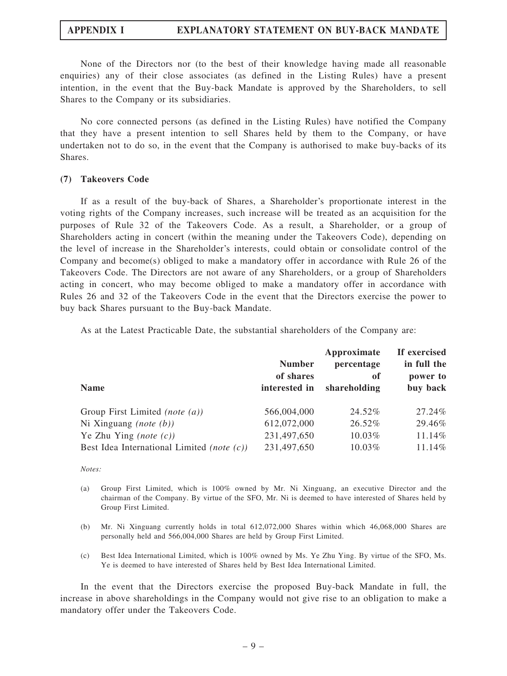None of the Directors nor (to the best of their knowledge having made all reasonable enquiries) any of their close associates (as defined in the Listing Rules) have a present intention, in the event that the Buy-back Mandate is approved by the Shareholders, to sell Shares to the Company or its subsidiaries.

No core connected persons (as defined in the Listing Rules) have notified the Company that they have a present intention to sell Shares held by them to the Company, or have undertaken not to do so, in the event that the Company is authorised to make buy-backs of its Shares.

#### (7) Takeovers Code

If as a result of the buy-back of Shares, a Shareholder's proportionate interest in the voting rights of the Company increases, such increase will be treated as an acquisition for the purposes of Rule 32 of the Takeovers Code. As a result, a Shareholder, or a group of Shareholders acting in concert (within the meaning under the Takeovers Code), depending on the level of increase in the Shareholder's interests, could obtain or consolidate control of the Company and become(s) obliged to make a mandatory offer in accordance with Rule 26 of the Takeovers Code. The Directors are not aware of any Shareholders, or a group of Shareholders acting in concert, who may become obliged to make a mandatory offer in accordance with Rules 26 and 32 of the Takeovers Code in the event that the Directors exercise the power to buy back Shares pursuant to the Buy-back Mandate.

As at the Latest Practicable Date, the substantial shareholders of the Company are:

| <b>Name</b>                                   | <b>Number</b><br>of shares<br>interested in | Approximate<br>percentage<br>of<br>shareholding | If exercised<br>in full the<br>power to<br>buy back |
|-----------------------------------------------|---------------------------------------------|-------------------------------------------------|-----------------------------------------------------|
| Group First Limited (note $(a)$ )             | 566,004,000                                 | 24.52%                                          | 27.24\%                                             |
| Ni Xinguang ( <i>note</i> $(b)$ )             | 612,072,000                                 | 26.52%                                          | 29.46%                                              |
| Ye Zhu Ying ( <i>note</i> $(c)$ )             | 231,497,650                                 | 10.03%                                          | 11.14%                                              |
| Best Idea International Limited (note $(c)$ ) | 231,497,650                                 | 10.03%                                          | 11.14%                                              |

#### Notes:

- (a) Group First Limited, which is 100% owned by Mr. Ni Xinguang, an executive Director and the chairman of the Company. By virtue of the SFO, Mr. Ni is deemed to have interested of Shares held by Group First Limited.
- (b) Mr. Ni Xinguang currently holds in total 612,072,000 Shares within which 46,068,000 Shares are personally held and 566,004,000 Shares are held by Group First Limited.
- (c) Best Idea International Limited, which is 100% owned by Ms. Ye Zhu Ying. By virtue of the SFO, Ms. Ye is deemed to have interested of Shares held by Best Idea International Limited.

In the event that the Directors exercise the proposed Buy-back Mandate in full, the increase in above shareholdings in the Company would not give rise to an obligation to make a mandatory offer under the Takeovers Code.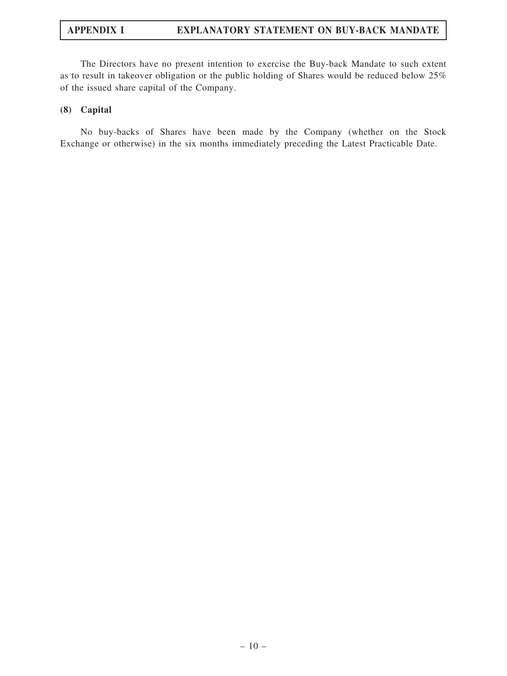The Directors have no present intention to exercise the Buy-back Mandate to such extent as to result in takeover obligation or the public holding of Shares would be reduced below 25% of the issued share capital of the Company.

#### (8) Capital

No buy-backs of Shares have been made by the Company (whether on the Stock Exchange or otherwise) in the six months immediately preceding the Latest Practicable Date.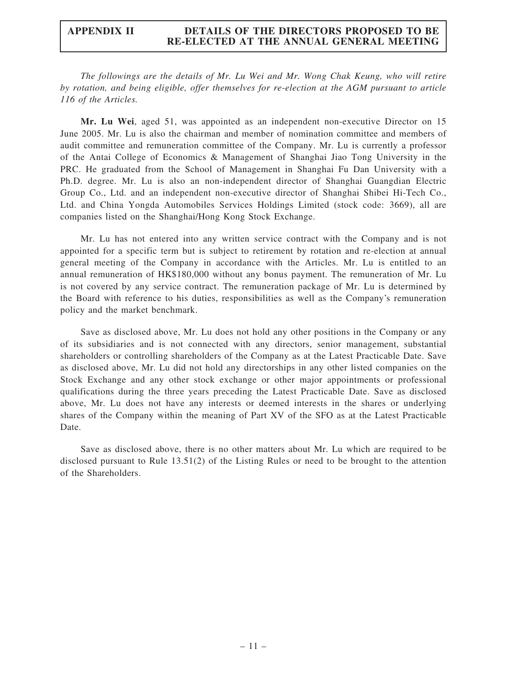#### APPENDIX II DETAILS OF THE DIRECTORS PROPOSED TO BE RE-ELECTED AT THE ANNUAL GENERAL MEETING

The followings are the details of Mr. Lu Wei and Mr. Wong Chak Keung, who will retire by rotation, and being eligible, offer themselves for re-election at the AGM pursuant to article 116 of the Articles.

Mr. Lu Wei, aged 51, was appointed as an independent non-executive Director on 15 June 2005. Mr. Lu is also the chairman and member of nomination committee and members of audit committee and remuneration committee of the Company. Mr. Lu is currently a professor of the Antai College of Economics & Management of Shanghai Jiao Tong University in the PRC. He graduated from the School of Management in Shanghai Fu Dan University with a Ph.D. degree. Mr. Lu is also an non-independent director of Shanghai Guangdian Electric Group Co., Ltd. and an independent non-executive director of Shanghai Shibei Hi-Tech Co., Ltd. and China Yongda Automobiles Services Holdings Limited (stock code: 3669), all are companies listed on the Shanghai/Hong Kong Stock Exchange.

Mr. Lu has not entered into any written service contract with the Company and is not appointed for a specific term but is subject to retirement by rotation and re-election at annual general meeting of the Company in accordance with the Articles. Mr. Lu is entitled to an annual remuneration of HK\$180,000 without any bonus payment. The remuneration of Mr. Lu is not covered by any service contract. The remuneration package of Mr. Lu is determined by the Board with reference to his duties, responsibilities as well as the Company's remuneration policy and the market benchmark.

Save as disclosed above, Mr. Lu does not hold any other positions in the Company or any of its subsidiaries and is not connected with any directors, senior management, substantial shareholders or controlling shareholders of the Company as at the Latest Practicable Date. Save as disclosed above, Mr. Lu did not hold any directorships in any other listed companies on the Stock Exchange and any other stock exchange or other major appointments or professional qualifications during the three years preceding the Latest Practicable Date. Save as disclosed above, Mr. Lu does not have any interests or deemed interests in the shares or underlying shares of the Company within the meaning of Part XV of the SFO as at the Latest Practicable Date.

Save as disclosed above, there is no other matters about Mr. Lu which are required to be disclosed pursuant to Rule 13.51(2) of the Listing Rules or need to be brought to the attention of the Shareholders.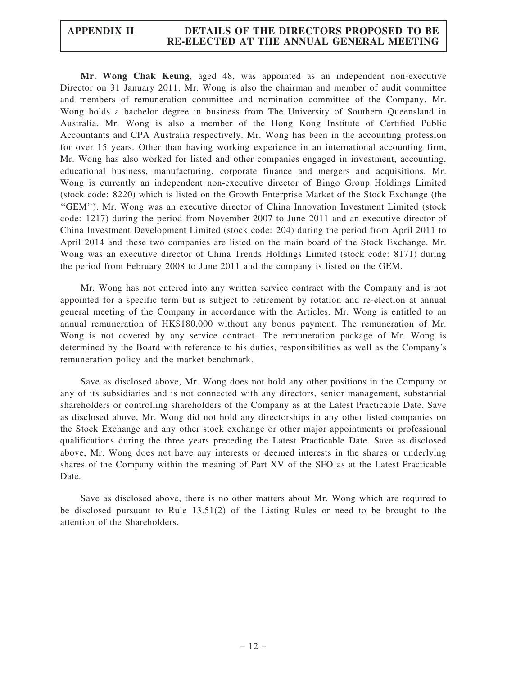#### APPENDIX II DETAILS OF THE DIRECTORS PROPOSED TO BE RE-ELECTED AT THE ANNUAL GENERAL MEETING

Mr. Wong Chak Keung, aged 48, was appointed as an independent non-executive Director on 31 January 2011. Mr. Wong is also the chairman and member of audit committee and members of remuneration committee and nomination committee of the Company. Mr. Wong holds a bachelor degree in business from The University of Southern Queensland in Australia. Mr. Wong is also a member of the Hong Kong Institute of Certified Public Accountants and CPA Australia respectively. Mr. Wong has been in the accounting profession for over 15 years. Other than having working experience in an international accounting firm, Mr. Wong has also worked for listed and other companies engaged in investment, accounting, educational business, manufacturing, corporate finance and mergers and acquisitions. Mr. Wong is currently an independent non-executive director of Bingo Group Holdings Limited (stock code: 8220) which is listed on the Growth Enterprise Market of the Stock Exchange (the ''GEM''). Mr. Wong was an executive director of China Innovation Investment Limited (stock code: 1217) during the period from November 2007 to June 2011 and an executive director of China Investment Development Limited (stock code: 204) during the period from April 2011 to April 2014 and these two companies are listed on the main board of the Stock Exchange. Mr. Wong was an executive director of China Trends Holdings Limited (stock code: 8171) during the period from February 2008 to June 2011 and the company is listed on the GEM.

Mr. Wong has not entered into any written service contract with the Company and is not appointed for a specific term but is subject to retirement by rotation and re-election at annual general meeting of the Company in accordance with the Articles. Mr. Wong is entitled to an annual remuneration of HK\$180,000 without any bonus payment. The remuneration of Mr. Wong is not covered by any service contract. The remuneration package of Mr. Wong is determined by the Board with reference to his duties, responsibilities as well as the Company's remuneration policy and the market benchmark.

Save as disclosed above, Mr. Wong does not hold any other positions in the Company or any of its subsidiaries and is not connected with any directors, senior management, substantial shareholders or controlling shareholders of the Company as at the Latest Practicable Date. Save as disclosed above, Mr. Wong did not hold any directorships in any other listed companies on the Stock Exchange and any other stock exchange or other major appointments or professional qualifications during the three years preceding the Latest Practicable Date. Save as disclosed above, Mr. Wong does not have any interests or deemed interests in the shares or underlying shares of the Company within the meaning of Part XV of the SFO as at the Latest Practicable Date.

Save as disclosed above, there is no other matters about Mr. Wong which are required to be disclosed pursuant to Rule 13.51(2) of the Listing Rules or need to be brought to the attention of the Shareholders.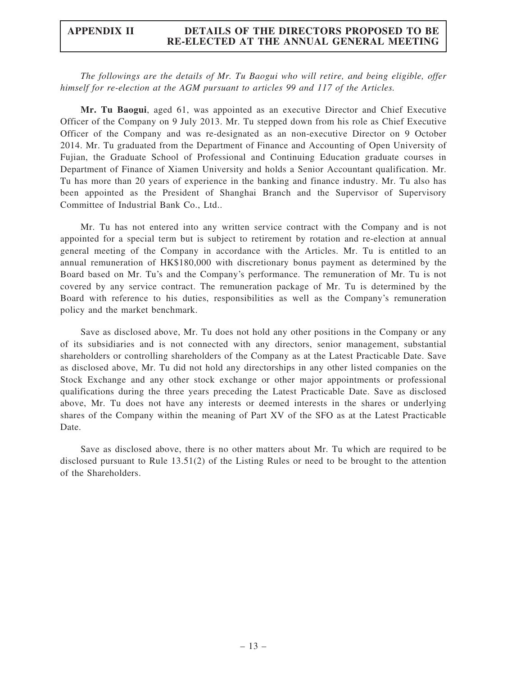#### APPENDIX II DETAILS OF THE DIRECTORS PROPOSED TO BE RE-ELECTED AT THE ANNUAL GENERAL MEETING

The followings are the details of Mr. Tu Baogui who will retire, and being eligible, offer himself for re-election at the AGM pursuant to articles 99 and 117 of the Articles.

Mr. Tu Baogui, aged 61, was appointed as an executive Director and Chief Executive Officer of the Company on 9 July 2013. Mr. Tu stepped down from his role as Chief Executive Officer of the Company and was re-designated as an non-executive Director on 9 October 2014. Mr. Tu graduated from the Department of Finance and Accounting of Open University of Fujian, the Graduate School of Professional and Continuing Education graduate courses in Department of Finance of Xiamen University and holds a Senior Accountant qualification. Mr. Tu has more than 20 years of experience in the banking and finance industry. Mr. Tu also has been appointed as the President of Shanghai Branch and the Supervisor of Supervisory Committee of Industrial Bank Co., Ltd..

Mr. Tu has not entered into any written service contract with the Company and is not appointed for a special term but is subject to retirement by rotation and re-election at annual general meeting of the Company in accordance with the Articles. Mr. Tu is entitled to an annual remuneration of HK\$180,000 with discretionary bonus payment as determined by the Board based on Mr. Tu's and the Company's performance. The remuneration of Mr. Tu is not covered by any service contract. The remuneration package of Mr. Tu is determined by the Board with reference to his duties, responsibilities as well as the Company's remuneration policy and the market benchmark.

Save as disclosed above, Mr. Tu does not hold any other positions in the Company or any of its subsidiaries and is not connected with any directors, senior management, substantial shareholders or controlling shareholders of the Company as at the Latest Practicable Date. Save as disclosed above, Mr. Tu did not hold any directorships in any other listed companies on the Stock Exchange and any other stock exchange or other major appointments or professional qualifications during the three years preceding the Latest Practicable Date. Save as disclosed above, Mr. Tu does not have any interests or deemed interests in the shares or underlying shares of the Company within the meaning of Part XV of the SFO as at the Latest Practicable Date.

Save as disclosed above, there is no other matters about Mr. Tu which are required to be disclosed pursuant to Rule 13.51(2) of the Listing Rules or need to be brought to the attention of the Shareholders.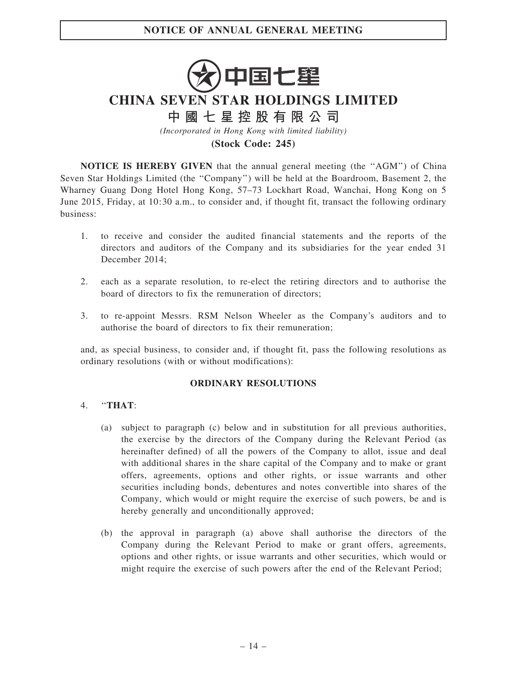## 中国七壆 CHINA SEVEN STAR HOLDINGS LIMITED 中 國 七 星 控 股 有 限 公 司

(Incorporated in Hong Kong with limited liability)

#### (Stock Code: 245)

NOTICE IS HEREBY GIVEN that the annual general meeting (the ''AGM'') of China Seven Star Holdings Limited (the ''Company'') will be held at the Boardroom, Basement 2, the Wharney Guang Dong Hotel Hong Kong, 57–73 Lockhart Road, Wanchai, Hong Kong on 5 June 2015, Friday, at 10:30 a.m., to consider and, if thought fit, transact the following ordinary business:

- 1. to receive and consider the audited financial statements and the reports of the directors and auditors of the Company and its subsidiaries for the year ended 31 December 2014;
- 2. each as a separate resolution, to re-elect the retiring directors and to authorise the board of directors to fix the remuneration of directors;
- 3. to re-appoint Messrs. RSM Nelson Wheeler as the Company's auditors and to authorise the board of directors to fix their remuneration;

and, as special business, to consider and, if thought fit, pass the following resolutions as ordinary resolutions (with or without modifications):

#### ORDINARY RESOLUTIONS

#### 4. ''THAT:

- (a) subject to paragraph (c) below and in substitution for all previous authorities, the exercise by the directors of the Company during the Relevant Period (as hereinafter defined) of all the powers of the Company to allot, issue and deal with additional shares in the share capital of the Company and to make or grant offers, agreements, options and other rights, or issue warrants and other securities including bonds, debentures and notes convertible into shares of the Company, which would or might require the exercise of such powers, be and is hereby generally and unconditionally approved;
- (b) the approval in paragraph (a) above shall authorise the directors of the Company during the Relevant Period to make or grant offers, agreements, options and other rights, or issue warrants and other securities, which would or might require the exercise of such powers after the end of the Relevant Period;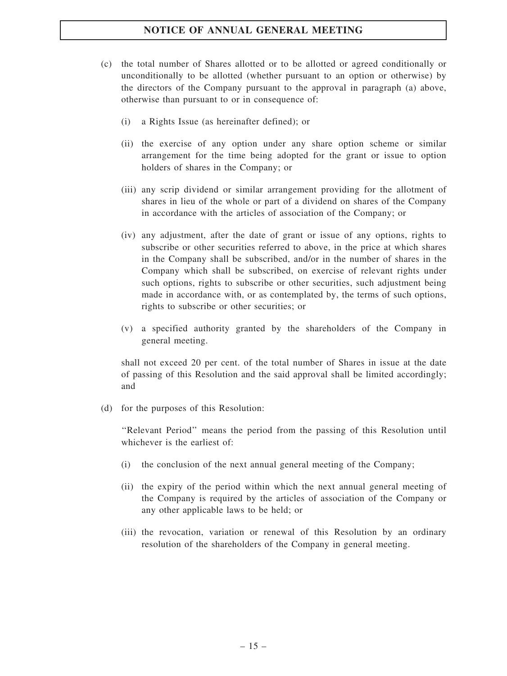- (c) the total number of Shares allotted or to be allotted or agreed conditionally or unconditionally to be allotted (whether pursuant to an option or otherwise) by the directors of the Company pursuant to the approval in paragraph (a) above, otherwise than pursuant to or in consequence of:
	- (i) a Rights Issue (as hereinafter defined); or
	- (ii) the exercise of any option under any share option scheme or similar arrangement for the time being adopted for the grant or issue to option holders of shares in the Company; or
	- (iii) any scrip dividend or similar arrangement providing for the allotment of shares in lieu of the whole or part of a dividend on shares of the Company in accordance with the articles of association of the Company; or
	- (iv) any adjustment, after the date of grant or issue of any options, rights to subscribe or other securities referred to above, in the price at which shares in the Company shall be subscribed, and/or in the number of shares in the Company which shall be subscribed, on exercise of relevant rights under such options, rights to subscribe or other securities, such adjustment being made in accordance with, or as contemplated by, the terms of such options, rights to subscribe or other securities; or
	- (v) a specified authority granted by the shareholders of the Company in general meeting.

shall not exceed 20 per cent. of the total number of Shares in issue at the date of passing of this Resolution and the said approval shall be limited accordingly; and

(d) for the purposes of this Resolution:

''Relevant Period'' means the period from the passing of this Resolution until whichever is the earliest of:

- (i) the conclusion of the next annual general meeting of the Company;
- (ii) the expiry of the period within which the next annual general meeting of the Company is required by the articles of association of the Company or any other applicable laws to be held; or
- (iii) the revocation, variation or renewal of this Resolution by an ordinary resolution of the shareholders of the Company in general meeting.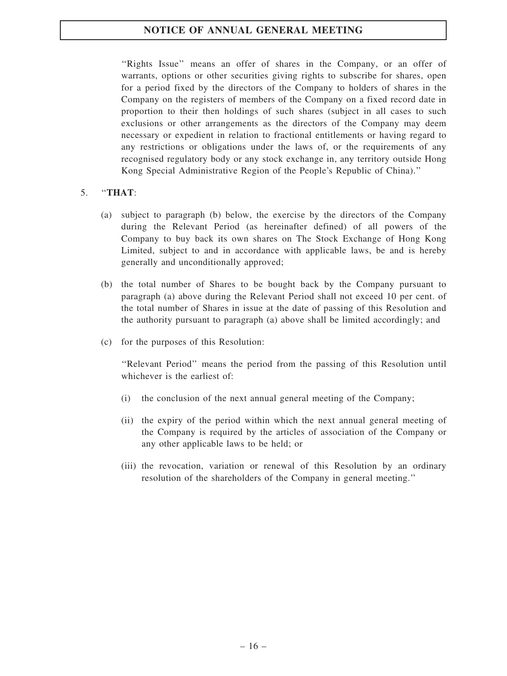''Rights Issue'' means an offer of shares in the Company, or an offer of warrants, options or other securities giving rights to subscribe for shares, open for a period fixed by the directors of the Company to holders of shares in the Company on the registers of members of the Company on a fixed record date in proportion to their then holdings of such shares (subject in all cases to such exclusions or other arrangements as the directors of the Company may deem necessary or expedient in relation to fractional entitlements or having regard to any restrictions or obligations under the laws of, or the requirements of any recognised regulatory body or any stock exchange in, any territory outside Hong Kong Special Administrative Region of the People's Republic of China).''

#### 5. ''THAT:

- (a) subject to paragraph (b) below, the exercise by the directors of the Company during the Relevant Period (as hereinafter defined) of all powers of the Company to buy back its own shares on The Stock Exchange of Hong Kong Limited, subject to and in accordance with applicable laws, be and is hereby generally and unconditionally approved;
- (b) the total number of Shares to be bought back by the Company pursuant to paragraph (a) above during the Relevant Period shall not exceed 10 per cent. of the total number of Shares in issue at the date of passing of this Resolution and the authority pursuant to paragraph (a) above shall be limited accordingly; and
- (c) for the purposes of this Resolution:

''Relevant Period'' means the period from the passing of this Resolution until whichever is the earliest of:

- (i) the conclusion of the next annual general meeting of the Company;
- (ii) the expiry of the period within which the next annual general meeting of the Company is required by the articles of association of the Company or any other applicable laws to be held; or
- (iii) the revocation, variation or renewal of this Resolution by an ordinary resolution of the shareholders of the Company in general meeting.''